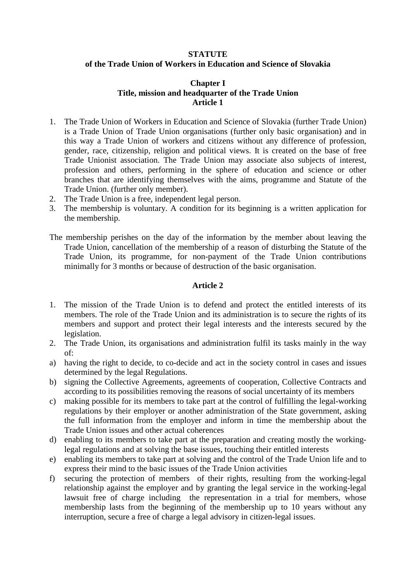#### **STATUTE**

## **of the Trade Union of Workers in Education and Science of Slovakia**

### **Chapter I Title, mission and headquarter of the Trade Union Article 1**

- 1. The Trade Union of Workers in Education and Science of Slovakia (further Trade Union) is a Trade Union of Trade Union organisations (further only basic organisation) and in this way a Trade Union of workers and citizens without any difference of profession, gender, race, citizenship, religion and political views. It is created on the base of free Trade Unionist association. The Trade Union may associate also subjects of interest, profession and others, performing in the sphere of education and science or other branches that are identifying themselves with the aims, programme and Statute of the Trade Union. (further only member).
- 2. The Trade Union is a free, independent legal person.
- 3. The membership is voluntary. A condition for its beginning is a written application for the membership.
- The membership perishes on the day of the information by the member about leaving the Trade Union, cancellation of the membership of a reason of disturbing the Statute of the Trade Union, its programme, for non-payment of the Trade Union contributions minimally for 3 months or because of destruction of the basic organisation.

# **Article 2**

- 1. The mission of the Trade Union is to defend and protect the entitled interests of its members. The role of the Trade Union and its administration is to secure the rights of its members and support and protect their legal interests and the interests secured by the legislation.
- 2. The Trade Union, its organisations and administration fulfil its tasks mainly in the way of:
- a) having the right to decide, to co-decide and act in the society control in cases and issues determined by the legal Regulations.
- b) signing the Collective Agreements, agreements of cooperation, Collective Contracts and according to its possibilities removing the reasons of social uncertainty of its members
- c) making possible for its members to take part at the control of fulfilling the legal-working regulations by their employer or another administration of the State government, asking the full information from the employer and inform in time the membership about the Trade Union issues and other actual coherences
- d) enabling to its members to take part at the preparation and creating mostly the workinglegal regulations and at solving the base issues, touching their entitled interests
- e) enabling its members to take part at solving and the control of the Trade Union life and to express their mind to the basic issues of the Trade Union activities
- f) securing the protection of members of their rights, resulting from the working-legal relationship against the employer and by granting the legal service in the working-legal lawsuit free of charge including the representation in a trial for members, whose membership lasts from the beginning of the membership up to 10 years without any interruption, secure a free of charge a legal advisory in citizen-legal issues.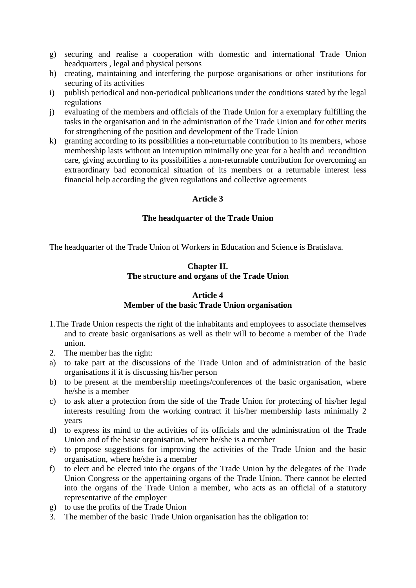- g) securing and realise a cooperation with domestic and international Trade Union headquarters , legal and physical persons
- h) creating, maintaining and interfering the purpose organisations or other institutions for securing of its activities
- i) publish periodical and non-periodical publications under the conditions stated by the legal regulations
- j) evaluating of the members and officials of the Trade Union for a exemplary fulfilling the tasks in the organisation and in the administration of the Trade Union and for other merits for strengthening of the position and development of the Trade Union
- k) granting according to its possibilities a non-returnable contribution to its members, whose membership lasts without an interruption minimally one year for a health and recondition care, giving according to its possibilities a non-returnable contribution for overcoming an extraordinary bad economical situation of its members or a returnable interest less financial help according the given regulations and collective agreements

## **Article 3**

## **The headquarter of the Trade Union**

The headquarter of the Trade Union of Workers in Education and Science is Bratislava.

# **Chapter II. The structure and organs of the Trade Union**

#### **Article 4**

### **Member of the basic Trade Union organisation**

- 1.The Trade Union respects the right of the inhabitants and employees to associate themselves and to create basic organisations as well as their will to become a member of the Trade union.
- 2. The member has the right:
- a) to take part at the discussions of the Trade Union and of administration of the basic organisations if it is discussing his/her person
- b) to be present at the membership meetings/conferences of the basic organisation, where he/she is a member
- c) to ask after a protection from the side of the Trade Union for protecting of his/her legal interests resulting from the working contract if his/her membership lasts minimally 2 years
- d) to express its mind to the activities of its officials and the administration of the Trade Union and of the basic organisation, where he/she is a member
- e) to propose suggestions for improving the activities of the Trade Union and the basic organisation, where he/she is a member
- f) to elect and be elected into the organs of the Trade Union by the delegates of the Trade Union Congress or the appertaining organs of the Trade Union. There cannot be elected into the organs of the Trade Union a member, who acts as an official of a statutory representative of the employer
- g) to use the profits of the Trade Union
- 3. The member of the basic Trade Union organisation has the obligation to: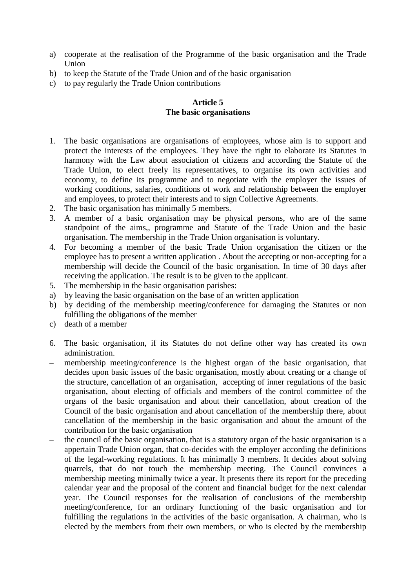- a) cooperate at the realisation of the Programme of the basic organisation and the Trade Union
- b) to keep the Statute of the Trade Union and of the basic organisation
- c) to pay regularly the Trade Union contributions

# **Article 5 The basic organisations**

- 1. The basic organisations are organisations of employees, whose aim is to support and protect the interests of the employees. They have the right to elaborate its Statutes in harmony with the Law about association of citizens and according the Statute of the Trade Union, to elect freely its representatives, to organise its own activities and economy, to define its programme and to negotiate with the employer the issues of working conditions, salaries, conditions of work and relationship between the employer and employees, to protect their interests and to sign Collective Agreements.
- 2. The basic organisation has minimally 5 members.
- 3. A member of a basic organisation may be physical persons, who are of the same standpoint of the aims,, programme and Statute of the Trade Union and the basic organisation. The membership in the Trade Union organisation is voluntary.
- 4. For becoming a member of the basic Trade Union organisation the citizen or the employee has to present a written application . About the accepting or non-accepting for a membership will decide the Council of the basic organisation. In time of 30 days after receiving the application. The result is to be given to the applicant.
- 5. The membership in the basic organisation parishes:
- a) by leaving the basic organisation on the base of an written application
- b) by deciding of the membership meeting/conference for damaging the Statutes or non fulfilling the obligations of the member
- c) death of a member
- 6. The basic organisation, if its Statutes do not define other way has created its own administration.
- membership meeting/conference is the highest organ of the basic organisation, that decides upon basic issues of the basic organisation, mostly about creating or a change of the structure, cancellation of an organisation, accepting of inner regulations of the basic organisation, about electing of officials and members of the control committee of the organs of the basic organisation and about their cancellation, about creation of the Council of the basic organisation and about cancellation of the membership there, about cancellation of the membership in the basic organisation and about the amount of the contribution for the basic organisation
- the council of the basic organisation, that is a statutory organ of the basic organisation is a appertain Trade Union organ, that co-decides with the employer according the definitions of the legal-working regulations. It has minimally 3 members. It decides about solving quarrels, that do not touch the membership meeting. The Council convinces a membership meeting minimally twice a year. It presents there its report for the preceding calendar year and the proposal of the content and financial budget for the next calendar year. The Council responses for the realisation of conclusions of the membership meeting/conference, for an ordinary functioning of the basic organisation and for fulfilling the regulations in the activities of the basic organisation. A chairman, who is elected by the members from their own members, or who is elected by the membership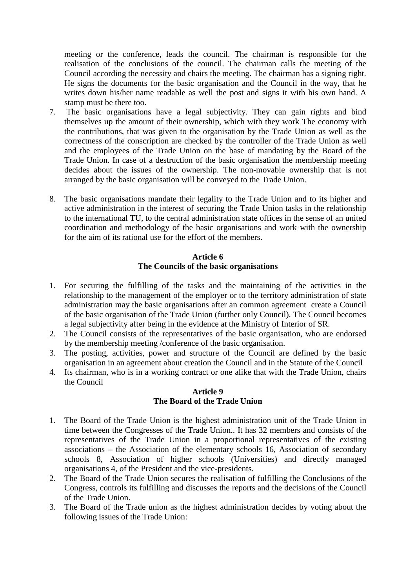meeting or the conference, leads the council. The chairman is responsible for the realisation of the conclusions of the council. The chairman calls the meeting of the Council according the necessity and chairs the meeting. The chairman has a signing right. He signs the documents for the basic organisation and the Council in the way, that he writes down his/her name readable as well the post and signs it with his own hand. A stamp must be there too.

- 7. The basic organisations have a legal subjectivity. They can gain rights and bind themselves up the amount of their ownership, which with they work The economy with the contributions, that was given to the organisation by the Trade Union as well as the correctness of the conscription are checked by the controller of the Trade Union as well and the employees of the Trade Union on the base of mandating by the Board of the Trade Union. In case of a destruction of the basic organisation the membership meeting decides about the issues of the ownership. The non-movable ownership that is not arranged by the basic organisation will be conveyed to the Trade Union.
- 8. The basic organisations mandate their legality to the Trade Union and to its higher and active administration in the interest of securing the Trade Union tasks in the relationship to the international TU, to the central administration state offices in the sense of an united coordination and methodology of the basic organisations and work with the ownership for the aim of its rational use for the effort of the members.

#### **Article 6 The Councils of the basic organisations**

- 1. For securing the fulfilling of the tasks and the maintaining of the activities in the relationship to the management of the employer or to the territory administration of state administration may the basic organisations after an common agreement create a Council of the basic organisation of the Trade Union (further only Council). The Council becomes a legal subjectivity after being in the evidence at the Ministry of Interior of SR.
- 2. The Council consists of the representatives of the basic organisation, who are endorsed by the membership meeting /conference of the basic organisation.
- 3. The posting, activities, power and structure of the Council are defined by the basic organisation in an agreement about creation the Council and in the Statute of the Council
- 4. Its chairman, who is in a working contract or one alike that with the Trade Union, chairs the Council

### **Article 9 The Board of the Trade Union**

- 1. The Board of the Trade Union is the highest administration unit of the Trade Union in time between the Congresses of the Trade Union.. It has 32 members and consists of the representatives of the Trade Union in a proportional representatives of the existing associations – the Association of the elementary schools 16, Association of secondary schools 8, Association of higher schools (Universities) and directly managed organisations 4, of the President and the vice-presidents.
- 2. The Board of the Trade Union secures the realisation of fulfilling the Conclusions of the Congress, controls its fulfilling and discusses the reports and the decisions of the Council of the Trade Union.
- 3. The Board of the Trade union as the highest administration decides by voting about the following issues of the Trade Union: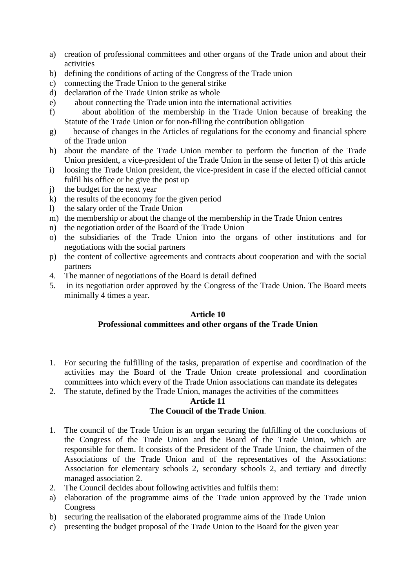- a) creation of professional committees and other organs of the Trade union and about their activities
- b) defining the conditions of acting of the Congress of the Trade union
- c) connecting the Trade Union to the general strike
- d) declaration of the Trade Union strike as whole
- e) about connecting the Trade union into the international activities
- f) about abolition of the membership in the Trade Union because of breaking the Statute of the Trade Union or for non-filling the contribution obligation
- g) because of changes in the Articles of regulations for the economy and financial sphere of the Trade union
- h) about the mandate of the Trade Union member to perform the function of the Trade Union president, a vice-president of the Trade Union in the sense of letter I) of this article
- i) loosing the Trade Union president, the vice-president in case if the elected official cannot fulfil his office or he give the post up
- j) the budget for the next year
- k) the results of the economy for the given period
- l) the salary order of the Trade Union
- m) the membership or about the change of the membership in the Trade Union centres
- n) the negotiation order of the Board of the Trade Union
- o) the subsidiaries of the Trade Union into the organs of other institutions and for negotiations with the social partners
- p) the content of collective agreements and contracts about cooperation and with the social partners
- 4. The manner of negotiations of the Board is detail defined
- 5. in its negotiation order approved by the Congress of the Trade Union. The Board meets minimally 4 times a year.

### **Article 10**

### **Professional committees and other organs of the Trade Union**

- 1. For securing the fulfilling of the tasks, preparation of expertise and coordination of the activities may the Board of the Trade Union create professional and coordination committees into which every of the Trade Union associations can mandate its delegates
- 2. The statute, defined by the Trade Union, manages the activities of the committees

### **Article 11 The Council of the Trade Union**.

- 1. The council of the Trade Union is an organ securing the fulfilling of the conclusions of the Congress of the Trade Union and the Board of the Trade Union, which are responsible for them. It consists of the President of the Trade Union, the chairmen of the Associations of the Trade Union and of the representatives of the Associations: Association for elementary schools 2, secondary schools 2, and tertiary and directly managed association 2.
- 2. The Council decides about following activities and fulfils them:
- a) elaboration of the programme aims of the Trade union approved by the Trade union Congress
- b) securing the realisation of the elaborated programme aims of the Trade Union
- c) presenting the budget proposal of the Trade Union to the Board for the given year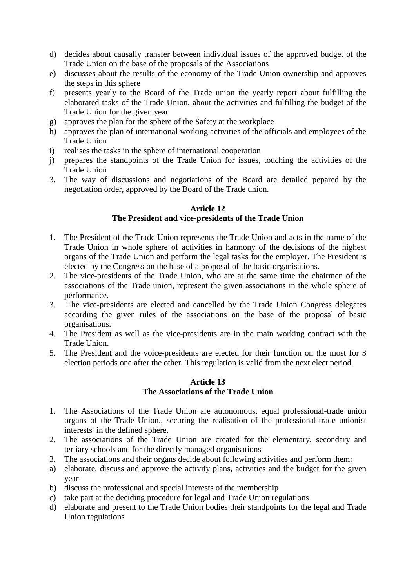- d) decides about causally transfer between individual issues of the approved budget of the Trade Union on the base of the proposals of the Associations
- e) discusses about the results of the economy of the Trade Union ownership and approves the steps in this sphere
- f) presents yearly to the Board of the Trade union the yearly report about fulfilling the elaborated tasks of the Trade Union, about the activities and fulfilling the budget of the Trade Union for the given year
- g) approves the plan for the sphere of the Safety at the workplace
- h) approves the plan of international working activities of the officials and employees of the Trade Union
- i) realises the tasks in the sphere of international cooperation
- j) prepares the standpoints of the Trade Union for issues, touching the activities of the Trade Union
- 3. The way of discussions and negotiations of the Board are detailed pepared by the negotiation order, approved by the Board of the Trade union.

### **Article 12 The President and vice-presidents of the Trade Union**

- 1. The President of the Trade Union represents the Trade Union and acts in the name of the Trade Union in whole sphere of activities in harmony of the decisions of the highest organs of the Trade Union and perform the legal tasks for the employer. The President is elected by the Congress on the base of a proposal of the basic organisations.
- 2. The vice-presidents of the Trade Union, who are at the same time the chairmen of the associations of the Trade union, represent the given associations in the whole sphere of performance.
- 3. The vice-presidents are elected and cancelled by the Trade Union Congress delegates according the given rules of the associations on the base of the proposal of basic organisations.
- 4. The President as well as the vice-presidents are in the main working contract with the Trade Union.
- 5. The President and the voice-presidents are elected for their function on the most for 3 election periods one after the other. This regulation is valid from the next elect period.

### **Article 13 The Associations of the Trade Union**

- 1. The Associations of the Trade Union are autonomous, equal professional-trade union organs of the Trade Union., securing the realisation of the professional-trade unionist interests in the defined sphere.
- 2. The associations of the Trade Union are created for the elementary, secondary and tertiary schools and for the directly managed organisations
- 3. The associations and their organs decide about following activities and perform them:
- a) elaborate, discuss and approve the activity plans, activities and the budget for the given year
- b) discuss the professional and special interests of the membership
- c) take part at the deciding procedure for legal and Trade Union regulations
- d) elaborate and present to the Trade Union bodies their standpoints for the legal and Trade Union regulations